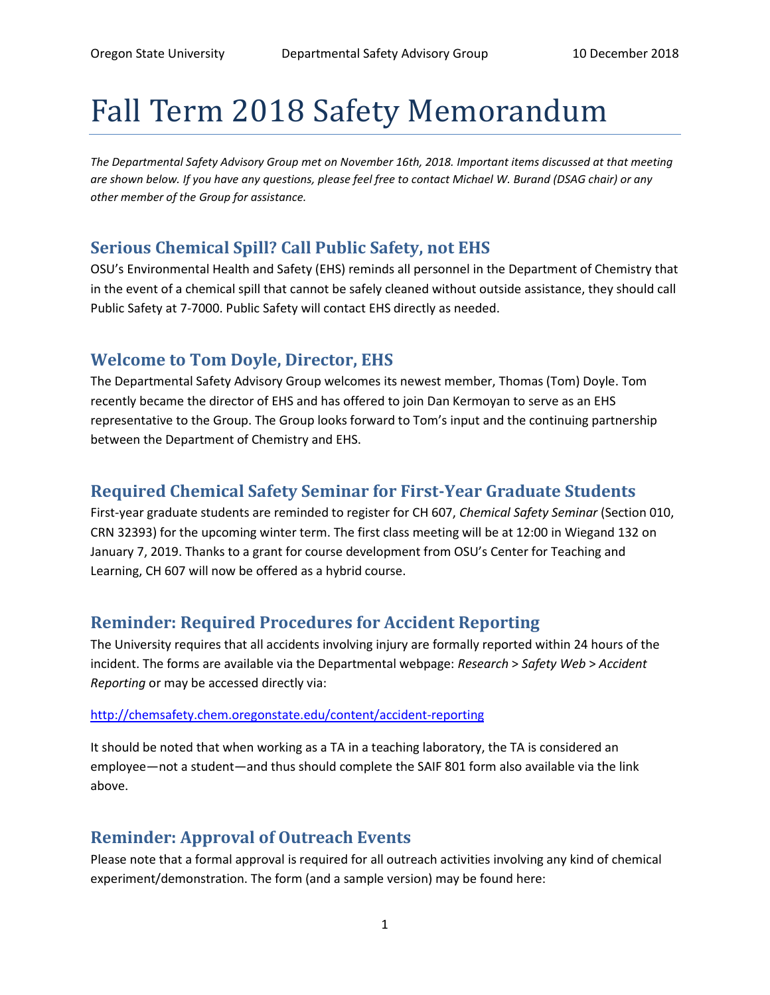# Fall Term 2018 Safety Memorandum

*The Departmental Safety Advisory Group met on November 16th, 2018. Important items discussed at that meeting are shown below. If you have any questions, please feel free to contact Michael W. Burand (DSAG chair) or any other member of the Group for assistance.*

### **Serious Chemical Spill? Call Public Safety, not EHS**

OSU's Environmental Health and Safety (EHS) reminds all personnel in the Department of Chemistry that in the event of a chemical spill that cannot be safely cleaned without outside assistance, they should call Public Safety at 7-7000. Public Safety will contact EHS directly as needed.

### **Welcome to Tom Doyle, Director, EHS**

The Departmental Safety Advisory Group welcomes its newest member, Thomas (Tom) Doyle. Tom recently became the director of EHS and has offered to join Dan Kermoyan to serve as an EHS representative to the Group. The Group looks forward to Tom's input and the continuing partnership between the Department of Chemistry and EHS.

## **Required Chemical Safety Seminar for First-Year Graduate Students**

First-year graduate students are reminded to register for CH 607, *Chemical Safety Seminar* (Section 010, CRN 32393) for the upcoming winter term. The first class meeting will be at 12:00 in Wiegand 132 on January 7, 2019. Thanks to a grant for course development from OSU's Center for Teaching and Learning, CH 607 will now be offered as a hybrid course.

### **Reminder: Required Procedures for Accident Reporting**

The University requires that all accidents involving injury are formally reported within 24 hours of the incident. The forms are available via the Departmental webpage: *Research* > *Safety Web* > *Accident Reporting* or may be accessed directly via:

#### [http://chemsafety.chem.oregonstate.edu/content/accident-reporting](https://exmail.oregonstate.edu/owa/redir.aspx?C=Yz6CtEg0E5ADS0pOZJ1lVScdOZJfE-pAXj-dASU6EhAKVw1ZbaTUCA..&URL=http%3a%2f%2fchemsafety.chem.oregonstate.edu%2fcontent%2faccident-reporting)

It should be noted that when working as a TA in a teaching laboratory, the TA is considered an employee—not a student—and thus should complete the SAIF 801 form also available via the link above.

### **Reminder: Approval of Outreach Events**

Please note that a formal approval is required for all outreach activities involving any kind of chemical experiment/demonstration. The form (and a sample version) may be found here: